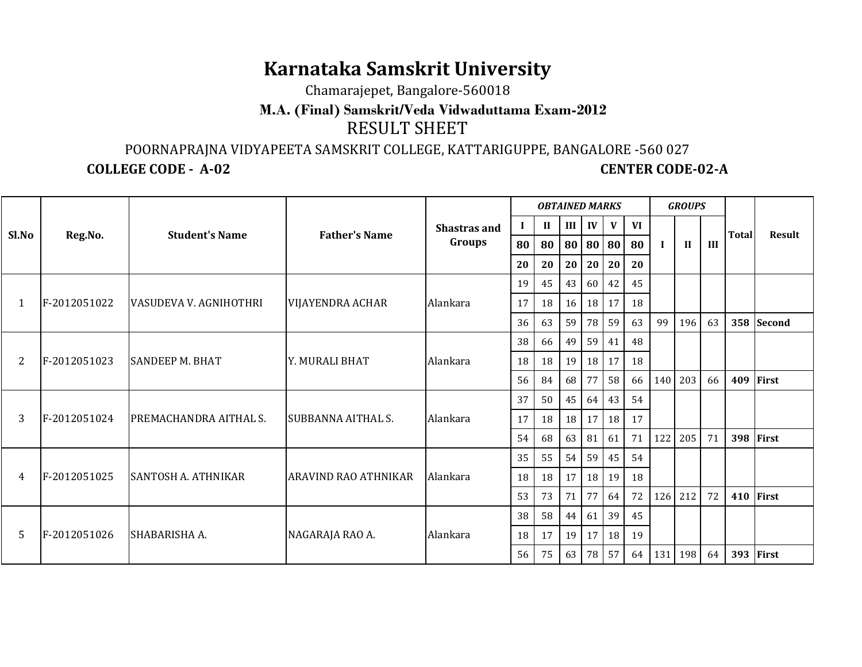## **Karnataka Samskrit University**

Chamarajepet, Bangalore-560018

## RESULT SHEET**M.A. (Final) Samskrit/Veda Vidwaduttama Exam-2012**

 POORNAPRAJNA VIDYAPEETA SAMSKRIT COLLEGE, KATTARIGUPPE, BANGALORE -560 027**CENTER CODE-02-A COLLEGE CODE - A-02** 

|       |                               |                            |                         |                     | <b>OBTAINED MARKS</b> |              |     |    |    |           | <b>GROUPS</b> |              |     |                                                                                    |           |
|-------|-------------------------------|----------------------------|-------------------------|---------------------|-----------------------|--------------|-----|----|----|-----------|---------------|--------------|-----|------------------------------------------------------------------------------------|-----------|
| Sl.No |                               | <b>Student's Name</b>      | <b>Father's Name</b>    | <b>Shastras and</b> |                       | $\mathbf{I}$ | III | IV | V  | <b>VI</b> |               |              |     | <b>Total</b><br><b>Result</b><br>358 Second<br>409 First<br>398 First<br>410 First |           |
|       | Reg.No.                       |                            |                         | Groups              | 80                    | 80           | 80  | 80 | 80 | 80        | -1            | $\mathbf{I}$ | III |                                                                                    |           |
|       |                               |                            |                         |                     | 20                    | 20           | 20  | 20 | 20 | 20        |               |              |     |                                                                                    |           |
|       |                               |                            |                         |                     | 19                    | 45           | 43  | 60 | 42 | 45        |               |              |     |                                                                                    |           |
| 1     | F-2012051022                  | VASUDEVA V. AGNIHOTHRI     | <b>VIJAYENDRA ACHAR</b> | Alankara            | 17                    | 18           | 16  | 18 | 17 | 18        |               |              |     |                                                                                    |           |
|       |                               |                            |                         |                     | 36                    | 63           | 59  | 78 | 59 | 63        | 99            | 196          | 63  |                                                                                    | 393 First |
|       |                               |                            |                         |                     | 38                    | 66           | 49  | 59 | 41 | 48        |               |              |     |                                                                                    |           |
| 2     | F-2012051023                  | <b>SANDEEP M. BHAT</b>     | Y. MURALI BHAT          | Alankara            | 18                    | 18           | 19  | 18 | 17 | 18        |               |              |     |                                                                                    |           |
|       |                               |                            |                         |                     | 56                    | 84           | 68  | 77 | 58 | 66        |               | 140 203      | 66  |                                                                                    |           |
|       |                               |                            |                         |                     | 37                    | 50           | 45  | 64 | 43 | 54        |               |              |     |                                                                                    |           |
| 3     | F-2012051024                  | IPREMACHANDRA AITHAL S.    | SUBBANNA AITHAL S.      | Alankara            | 17                    | 18           | 18  | 17 | 18 | 17        |               |              |     |                                                                                    |           |
|       |                               |                            |                         |                     | 54                    | 68           | 63  | 81 | 61 | 71        | 122           | 205          | 71  |                                                                                    |           |
|       |                               |                            |                         |                     | 35                    | 55           | 54  | 59 | 45 | 54        |               |              |     |                                                                                    |           |
| 4     | F-2012051025                  | <b>SANTOSH A. ATHNIKAR</b> | ARAVIND RAO ATHNIKAR    | Alankara            | 18                    | 18           | 17  | 18 | 19 | 18        |               |              |     |                                                                                    |           |
|       |                               |                            |                         |                     | 53                    | 73           | 71  | 77 | 64 | 72        | 126           | 212          | 72  |                                                                                    |           |
|       |                               |                            |                         |                     | 38                    | 58           | 44  | 61 | 39 | 45        |               |              |     |                                                                                    |           |
| 5     | SHABARISHA A.<br>F-2012051026 | NAGARAJA RAO A.            | Alankara                | 18                  | 17                    | 19           | 17  | 18 | 19 |           |               |              |     |                                                                                    |           |
|       |                               |                            |                         |                     | 56                    | 75           | 63  | 78 | 57 | 64        | 131           | 198          | 64  |                                                                                    |           |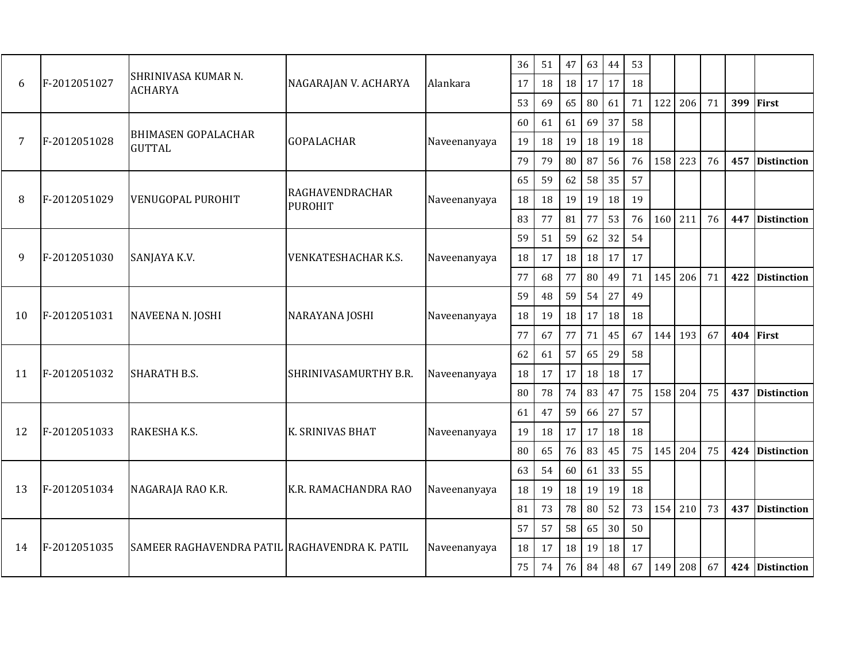| 6              |              | SHRINIVASA KUMAR N.                           |                       |              | 36 | 51 | 47 | 63 | 44 | 53 |     |     |                      |                                                                         |                                                                                                                                                                  |
|----------------|--------------|-----------------------------------------------|-----------------------|--------------|----|----|----|----|----|----|-----|-----|----------------------|-------------------------------------------------------------------------|------------------------------------------------------------------------------------------------------------------------------------------------------------------|
|                | F-2012051027 | <b>ACHARYA</b>                                | NAGARAJAN V. ACHARYA  | Alankara     | 17 | 18 | 18 | 17 | 17 | 18 |     |     |                      |                                                                         |                                                                                                                                                                  |
|                |              |                                               |                       |              | 53 | 69 | 65 | 80 | 61 | 71 | 122 | 206 | 71                   |                                                                         |                                                                                                                                                                  |
| $\overline{7}$ |              | <b>BHIMASEN GOPALACHAR</b>                    |                       |              | 60 | 61 | 61 | 69 | 37 | 58 |     |     |                      |                                                                         | <b>First</b><br><b>Distinction</b><br><b>Distinction</b><br><b>Distinction</b><br><b>First</b><br><b>Distinction</b><br><b>Distinction</b><br><b>Distinction</b> |
|                | F-2012051028 | <b>GUTTAL</b>                                 | GOPALACHAR            | Naveenanyaya | 19 | 18 | 19 | 18 | 19 | 18 |     |     |                      |                                                                         |                                                                                                                                                                  |
|                |              |                                               |                       |              | 79 | 79 | 80 | 87 | 56 | 76 | 158 | 223 | 76                   |                                                                         |                                                                                                                                                                  |
|                |              |                                               | RAGHAVENDRACHAR       |              | 65 | 59 | 62 | 58 | 35 | 57 |     |     |                      |                                                                         |                                                                                                                                                                  |
| 8              | F-2012051029 | <b>VENUGOPAL PUROHIT</b>                      | <b>PUROHIT</b>        | Naveenanyaya | 18 | 18 | 19 | 19 | 18 | 19 |     |     |                      |                                                                         |                                                                                                                                                                  |
|                |              |                                               |                       |              | 83 | 77 | 81 | 77 | 53 | 76 | 160 | 211 |                      | 399<br>457<br>447<br>422<br>404<br>437<br>424<br>437<br>424 Distinction |                                                                                                                                                                  |
| 9              |              |                                               |                       | 59           | 51 | 59 | 62 | 32 | 54 |    |     |     |                      |                                                                         |                                                                                                                                                                  |
|                | F-2012051030 | SANJAYA K.V.                                  | VENKATESHACHAR K.S.   | Naveenanyaya | 18 | 17 | 18 | 18 | 17 | 17 |     |     |                      |                                                                         |                                                                                                                                                                  |
|                |              |                                               |                       |              | 77 | 68 | 77 | 80 | 49 | 71 | 145 | 206 | 71                   |                                                                         |                                                                                                                                                                  |
| 10             |              |                                               |                       |              | 59 | 48 | 59 | 54 | 27 | 49 |     |     |                      |                                                                         |                                                                                                                                                                  |
|                | F-2012051031 | NAVEENA N. JOSHI                              | NARAYANA JOSHI        | Naveenanyaya | 18 | 19 | 18 | 17 | 18 | 18 |     |     |                      |                                                                         |                                                                                                                                                                  |
|                |              |                                               |                       |              | 77 | 67 | 77 | 71 | 45 | 67 | 144 | 193 | 67                   |                                                                         |                                                                                                                                                                  |
|                |              |                                               |                       |              | 62 | 61 | 57 | 65 | 29 | 58 |     |     |                      |                                                                         |                                                                                                                                                                  |
| 11             | F-2012051032 | <b>SHARATH B.S.</b>                           | SHRINIVASAMURTHY B.R. | Naveenanyaya | 18 | 17 | 17 | 18 | 18 | 17 |     |     |                      |                                                                         |                                                                                                                                                                  |
|                |              |                                               |                       |              | 80 | 78 | 74 | 83 | 47 | 75 | 158 | 204 | 76<br>75<br>75<br>73 |                                                                         |                                                                                                                                                                  |
|                |              |                                               |                       |              | 61 | 47 | 59 | 66 | 27 | 57 |     |     |                      |                                                                         |                                                                                                                                                                  |
| 12             | F-2012051033 | RAKESHA K.S.                                  | K. SRINIVAS BHAT      | Naveenanyaya | 19 | 18 | 17 | 17 | 18 | 18 |     |     |                      |                                                                         |                                                                                                                                                                  |
|                |              |                                               |                       |              | 80 | 65 | 76 | 83 | 45 | 75 | 145 | 204 |                      |                                                                         |                                                                                                                                                                  |
|                |              |                                               |                       |              | 63 | 54 | 60 | 61 | 33 | 55 |     |     |                      |                                                                         |                                                                                                                                                                  |
| 13             | F-2012051034 | NAGARAJA RAO K.R.                             | K.R. RAMACHANDRA RAO  | Naveenanyaya | 18 | 19 | 18 | 19 | 19 | 18 |     |     |                      |                                                                         |                                                                                                                                                                  |
|                |              |                                               |                       |              | 81 | 73 | 78 | 80 | 52 | 73 | 154 | 210 |                      |                                                                         |                                                                                                                                                                  |
|                |              |                                               |                       |              | 57 | 57 | 58 | 65 | 30 | 50 |     |     |                      |                                                                         |                                                                                                                                                                  |
| 14             | F-2012051035 | SAMEER RAGHAVENDRA PATIL RAGHAVENDRA K. PATIL |                       | Naveenanyaya | 18 | 17 | 18 | 19 | 18 | 17 |     |     |                      |                                                                         |                                                                                                                                                                  |
|                |              |                                               |                       |              | 75 | 74 | 76 | 84 | 48 | 67 | 149 | 208 | 67                   |                                                                         |                                                                                                                                                                  |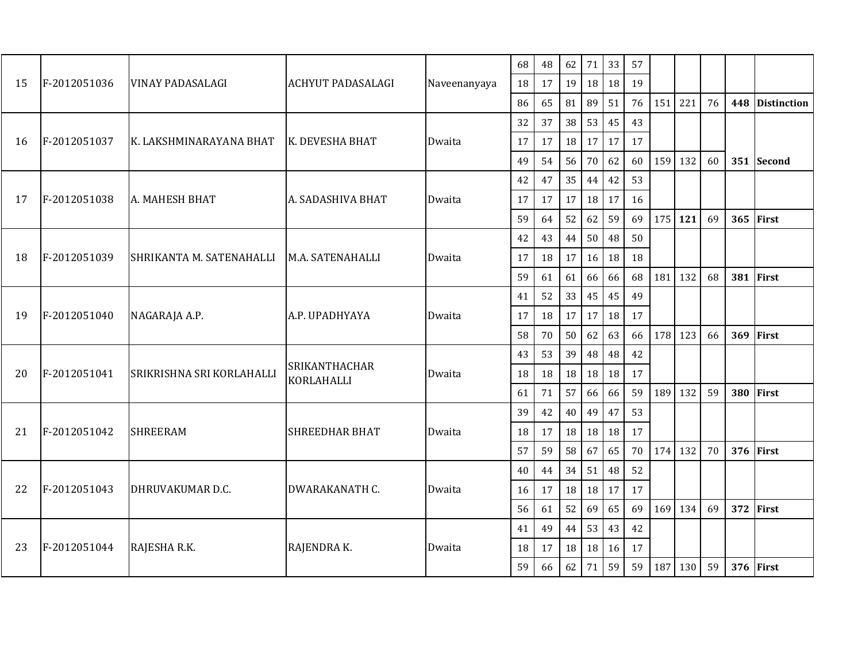|    |              |                           |                                           |              | 68 | 48 | 62                   | 71 | 33 | 57 |     |                                                                                           |       |                                      |                                                              |
|----|--------------|---------------------------|-------------------------------------------|--------------|----|----|----------------------|----|----|----|-----|-------------------------------------------------------------------------------------------|-------|--------------------------------------|--------------------------------------------------------------|
| 15 | F-2012051036 | VINAY PADASALAGI          | <b>ACHYUT PADASALAGI</b>                  | Naveenanyaya | 18 | 17 | 19                   | 18 | 18 | 19 |     |                                                                                           |       |                                      |                                                              |
|    |              |                           |                                           |              | 86 | 65 | 81                   | 89 | 51 | 76 | 151 | 221                                                                                       | 76    | 448                                  | <b>Distinction</b>                                           |
|    |              |                           |                                           |              | 32 | 37 | 38                   | 53 | 45 | 43 | 17  |                                                                                           |       |                                      |                                                              |
| 16 | F-2012051037 | K. LAKSHMINARAYANA BHAT   | K. DEVESHA BHAT                           | Dwaita       | 17 | 17 | 18                   | 17 | 17 |    |     |                                                                                           |       |                                      |                                                              |
|    |              |                           |                                           |              | 49 | 54 | 56                   | 70 | 62 | 60 | 159 | 132                                                                                       | 60    |                                      |                                                              |
|    |              |                           |                                           |              | 42 | 47 | 35                   | 44 | 42 | 53 |     |                                                                                           |       |                                      |                                                              |
| 17 | F-2012051038 | A. MAHESH BHAT            | A. SADASHIVA BHAT                         | Dwaita       | 17 | 17 | 17                   | 18 | 17 | 16 |     |                                                                                           |       |                                      |                                                              |
|    |              |                           |                                           |              | 59 | 64 | 52                   | 62 | 59 | 69 | 175 | 121<br>69<br>365<br>132<br>68<br>381<br>123<br>369<br>66<br>132<br>380<br>59<br>132<br>70 | First |                                      |                                                              |
|    |              |                           |                                           |              | 42 | 43 | 44                   | 50 | 48 | 50 |     |                                                                                           |       |                                      | <b>First</b><br><b>First</b><br><b>First</b><br><b>First</b> |
| 18 | F-2012051039 | SHRIKANTA M. SATENAHALLI  | M.A. SATENAHALLI                          | Dwaita       | 17 | 18 | 17                   | 16 | 18 | 18 |     |                                                                                           |       |                                      |                                                              |
|    |              |                           |                                           |              | 59 | 61 | 61                   | 66 | 66 | 68 | 181 |                                                                                           |       |                                      |                                                              |
| 19 |              |                           |                                           |              | 41 | 52 | 33<br>45<br>45<br>49 |    |    |    |     |                                                                                           |       |                                      |                                                              |
|    | F-2012051040 | NAGARAJA A.P.             | A.P. UPADHYAYA                            | Dwaita       | 17 | 18 | 17                   | 17 | 18 | 17 |     |                                                                                           |       |                                      |                                                              |
|    |              |                           |                                           |              | 58 | 70 | 50                   | 62 | 63 | 66 | 178 |                                                                                           |       |                                      |                                                              |
|    |              |                           |                                           |              | 43 | 53 | 39                   | 48 | 48 | 42 |     |                                                                                           |       |                                      |                                                              |
| 20 | F-2012051041 | SRIKRISHNA SRI KORLAHALLI | <b>SRIKANTHACHAR</b><br><b>KORLAHALLI</b> | Dwaita       | 18 | 18 | 18                   | 18 | 18 | 17 |     |                                                                                           |       |                                      |                                                              |
|    |              |                           |                                           |              | 61 | 71 | 57                   | 66 | 66 | 59 | 189 | 372<br>134<br>69<br>130<br>59                                                             |       |                                      |                                                              |
|    |              |                           |                                           |              | 39 | 42 | 40                   | 49 | 47 | 53 |     |                                                                                           |       |                                      |                                                              |
| 21 | F-2012051042 | <b>SHREERAM</b>           | <b>SHREEDHAR BHAT</b>                     | Dwaita       | 18 | 17 | 18                   | 18 | 18 | 17 |     |                                                                                           |       | 351 Second<br>376 First<br>376 First |                                                              |
|    |              |                           |                                           |              | 57 | 59 | 58                   | 67 | 65 | 70 | 174 |                                                                                           |       |                                      |                                                              |
|    |              |                           |                                           |              | 40 | 44 | 34                   | 51 | 48 | 52 |     |                                                                                           |       |                                      |                                                              |
| 22 | F-2012051043 | DHRUVAKUMAR D.C.          | <b>DWARAKANATH C.</b>                     | Dwaita       | 16 | 17 | 18                   | 18 | 17 | 17 |     |                                                                                           |       |                                      |                                                              |
|    |              |                           |                                           |              | 56 | 61 | 52                   | 69 | 65 | 69 | 169 |                                                                                           |       |                                      |                                                              |
| 23 |              |                           |                                           |              | 41 | 49 | 44                   | 53 | 43 | 42 |     |                                                                                           |       |                                      |                                                              |
|    | F-2012051044 | RAJESHA R.K.              | RAJENDRA K.                               | Dwaita       | 18 | 17 | 18                   | 18 | 16 | 17 |     |                                                                                           |       |                                      |                                                              |
|    |              |                           |                                           |              | 59 | 66 | 62                   | 71 | 59 | 59 | 187 |                                                                                           |       |                                      |                                                              |